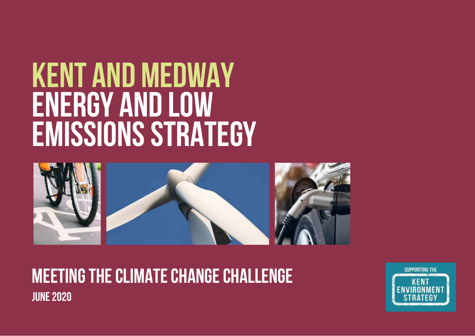# **KENT AND MEDWAY ENERGY AND LOW EMISSIONS STRATEGY**



**MEETING THE CLIMATE CHANGE CHALLENGE june 2020**

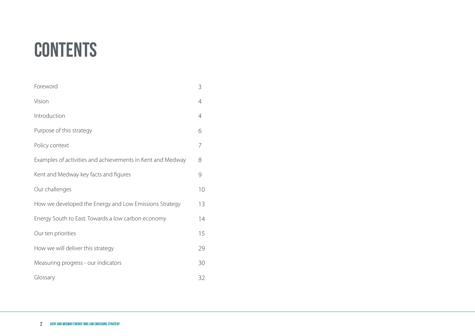# **CONTENTS**

| Foreword                                                   | 3  |
|------------------------------------------------------------|----|
| Vision                                                     | 4  |
| Introduction                                               | 4  |
| Purpose of this strategy                                   | 6  |
| Policy context                                             | 7  |
| Examples of activities and achievements in Kent and Medway | 8  |
| Kent and Medway key facts and figures                      | 9  |
| Our challenges                                             | 10 |
| How we developed the Energy and Low Emissions Strategy     | 13 |
| Energy South to East: Towards a low carbon economy         | 14 |
| Our ten priorities                                         | 15 |
| How we will deliver this strategy                          | 29 |
| Measuring progress - our indicators                        | 30 |
| Glossary                                                   | 32 |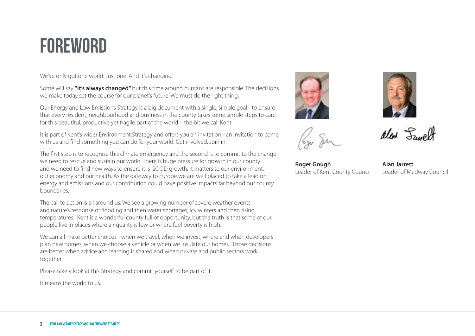## **FOREWORD**

We've only got one world. Just one. And it's changing.

Some will say **"It's always changed"**but this time around humans are responsible. The decisions we make today set the course for our planet's future. We must do the right thing.

Our Energy and Low Emissions Strategy is a big document with a single, simple goal - to ensure that every resident, neighbourhood and business in the county takes some simple steps to care for this beautiful, productive yet fragile part of the world – the bit we call Kent.

It is part of Kent's wider Environment Strategy and offers you an invitation - an invitation to come with us and find something you can do for your world. Get involved. Join in.

The first step is to recognise this climate emergency and the second is to commit to the change we need to rescue and sustain our world. There is huge pressure for growth in our county and we need to find new ways to ensure it is GOOD growth. It matters to our environment, our economy and our health. As the gateway to Europe we are well placed to take a lead on energy and emissions and our contribution could have positive impacts far beyond our county boundaries.

The call to action is all around us. We see a growing number of severe weather events and nature's response of flooding and then water shortages, icy winters and then rising temperatures. Kent is a wonderful county full of opportunity, but the truth is that some of our people live in places where air quality is low or where fuel poverty is high.

We can all make better choices - when we travel, when we invest, where and when developers plan new homes, when we choose a vehicle or when we insulate our homes. Those decisions are better when advice and learning is shared and when private and public sectors work together.

Please take a look at this Strategy and commit yourself to be part of it.

It means the world to us.

**3 Kent and Medway Energy and Low Emissions Strategy**





alent Sauce

**Roger Gough** Leader of Kent County Council

**Alan Jarrett** Leader of Medway Council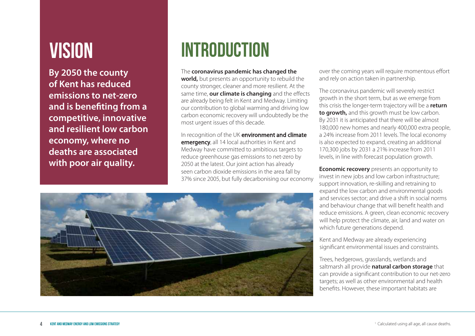**By 2050 the county of Kent has reduced emissions to net-zero and is benefiting from a competitive, innovative and resilient low carbon economy, where no deaths are associated with poor air quality.**

# **VISION INTRODUCTION**

#### The **coronavirus pandemic has changed the**

**world,** but presents an opportunity to rebuild the county stronger, cleaner and more resilient. At the same time, **our climate is changing** and the effects are already being felt in Kent and Medway. Limiting our contribution to global warming and driving low carbon economic recovery will undoubtedly be the most urgent issues of this decade.

In recognition of the UK environment and climate emergency, all 14 local authorities in Kent and Medway have committed to ambitious targets to reduce greenhouse gas emissions to net-zero by 2050 at the latest. Our joint action has already seen carbon dioxide emissions in the area fall by 37% since 2005, but fully decarbonising our economy

over the coming years will require momentous effort and rely on action taken in partnership.

The coronavirus pandemic will severely restrict growth in the short term, but as we emerge from this crisis the longer-term trajectory will be a **return to growth,** and this growth must be low carbon. By 2031 it is anticipated that there will be almost 180,000 new homes and nearly 400,000 extra people, a 24% increase from 2011 levels. The local economy is also expected to expand, creating an additional 170,300 jobs by 2031 a 21% increase from 2011 levels, in line with forecast population growth.

**Economic recovery** presents an opportunity to invest in new jobs and low carbon infrastructure; support innovation, re-skilling and retraining to expand the low carbon and environmental goods and services sector; and drive a shift in social norms and behaviour change that will benefit health and reduce emissions. A green, clean economic recovery will help protect the climate, air, land and water on which future generations depend.

Kent and Medway are already experiencing significant environmental issues and constraints.

Trees, hedgerows, grasslands, wetlands and saltmarsh all provide **natural carbon storage** that can provide a significant contribution to our net-zero targets; as well as other environmental and health benefits. However, these important habitats are

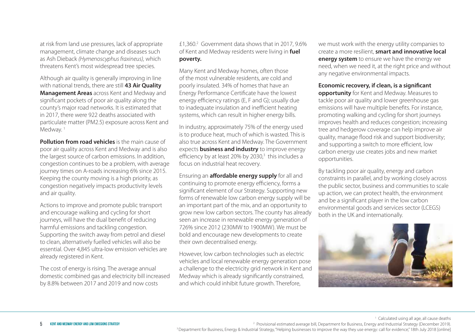at risk from land use pressures, lack of appropriate management, climate change and diseases such as Ash Dieback *(Hymenoscyphus fraxineus),* which threatens Kent's most widespread tree species.

Although air quality is generally improving in line with national trends, there are still **43 Air Quality Management Areas** across Kent and Medway and significant pockets of poor air quality along the county's major road networks. It is estimated that in 2017, there were 922 deaths associated with particulate matter (PM2.5) exposure across Kent and Medway.<sup>1</sup>

**Pollution from road vehicles** is the main cause of poor air quality across Kent and Medway and is also the largest source of carbon emissions. In addition, congestion continues to be a problem, with average journey times on A-roads increasing 6% since 2015. Keeping the county moving is a high priority, as congestion negatively impacts productivity levels and air quality.

Actions to improve and promote public transport and encourage walking and cycling for short journeys, will have the dual benefit of reducing harmful emissions and tackling congestion. Supporting the switch away from petrol and diesel to clean, alternatively fuelled vehicles will also be essential. Over 4,845 ultra-low emission vehicles are already registered in Kent.

The cost of energy is rising. The average annual domestic combined gas and electricity bill increased by 8.8% between 2017 and 2019 and now costs

£1,360.<sup>2</sup> Government data shows that in 2017, 9.6% of Kent and Medway residents were living in **fuel poverty.**

Many Kent and Medway homes, often those of the most vulnerable residents, are cold and poorly insulated. 34% of homes that have an Energy Performance Certificate have the lowest energy efficiency ratings (E, F and G); usually due to inadequate insulation and inefficient heating systems, which can result in higher energy bills.

In industry, approximately 75% of the energy used is to produce heat, much of which is wasted. This is also true across Kent and Medway. The Government expects **business and industry** to improve energy efficiency by at least 20% by 2030,<sup>3</sup> this includes a focus on industrial heat recovery.

Ensuring an **affordable energy supply** for all and continuing to promote energy efficiency, forms a significant element of our Strategy. Supporting new forms of renewable low carbon energy supply will be an important part of the mix, and an opportunity to grow new low carbon sectors. The county has already seen an increase in renewable energy generation of 726% since 2012 (230MW to 1900MW). We must be bold and encourage new developments to create their own decentralised energy.

However, low carbon technologies such as electric vehicles and local renewable energy generation pose a challenge to the electricity grid network in Kent and Medway which is already significantly constrained, and which could inhibit future growth. Therefore,

we must work with the energy utility companies to create a more resilient, **smart and innovative local energy system** to ensure we have the energy we need, when we need it, at the right price and without any negative environmental impacts.

**Economic recovery, if clean, is a significant**

**opportunity** for Kent and Medway. Measures to tackle poor air quality and lower greenhouse gas emissions will have multiple benefits. For instance, promoting walking and cycling for short journeys improves health and reduces congestion; increasing tree and hedgerow coverage can help improve air quality, manage flood risk and support biodiversity; and supporting a switch to more efficient, low carbon energy use creates jobs and new market opportunities.

By tackling poor air quality, energy and carbon constraints in parallel, and by working closely across the public sector, business and communities to scale up action, we can protect health, the environment and be a significant player in the low carbon environmental goods and services sector (LCEGS) both in the UK and internationally.



<sup>1</sup> Calculated using all age, all cause deaths

<sup>2</sup> Provisional estimated average bill, Department for Business, Energy and Industrial Strategy (December 2019). <sup>3</sup> Department for Business, Energy & Industrial Strategy, "Helping businesses to improve the way they use energy: call for evidence," 18th July 2018 [online]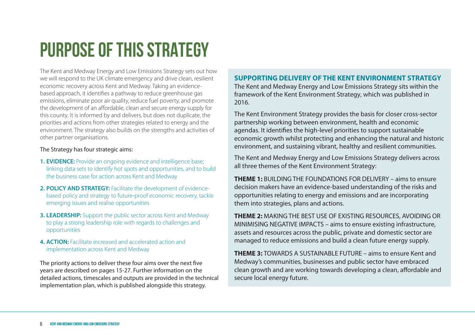# **PURPOSE OF THIS STRATEGY**

The Kent and Medway Energy and Low Emissions Strategy sets out how we will respond to the UK climate emergency and drive clean, resilient economic recovery across Kent and Medway. Taking an evidencebased approach, it identifies a pathway to reduce greenhouse gas emissions, eliminate poor air quality, reduce fuel poverty, and promote the development of an affordable, clean and secure energy supply for this county. It is informed by and delivers, but does not duplicate, the priorities and actions from other strategies related to energy and the environment. The strategy also builds on the strengths and activities of other partner organisations.

#### The Strategy has four strategic aims:

- **1. EVIDENCE:** Provide an ongoing evidence and intelligence base; linking data sets to identify hot spots and opportunities, and to build the business case for action across Kent and Medway
- **2. POLICY AND STRATEGY:** Facilitate the development of evidencebased policy and strategy to future-proof economic recovery, tackle emerging issues and realise opportunities
- **3. LEADERSHIP:** Support the public sector across Kent and Medway to play a strong leadership role with regards to challenges and opportunities
- **4. ACTION:** Facilitate increased and accelerated action and implementation across Kent and Medway

The priority actions to deliver these four aims over the next five years are described on pages 15-27. Further information on the detailed actions, timescales and outputs are provided in the technical implementation plan, which is published alongside this strategy.

#### **SUPPORTING DELIVERY OF THE KENT ENVIRONMENT STRATEGY**

The Kent and Medway Energy and Low Emissions Strategy sits within the framework of the Kent Environment Strategy, which was published in 2016.

The Kent Environment Strategy provides the basis for closer cross-sector partnership working between environment, health and economic agendas. It identifies the high-level priorities to support sustainable economic growth whilst protecting and enhancing the natural and historic environment, and sustaining vibrant, healthy and resilient communities.

The Kent and Medway Energy and Low Emissions Strategy delivers across all three themes of the Kent Environment Strategy:

**THEME 1:** BUILDING THE FOUNDATIONS FOR DELIVERY – aims to ensure decision makers have an evidence-based understanding of the risks and opportunities relating to energy and emissions and are incorporating them into strategies, plans and actions.

**THEME 2:** MAKING THE BEST USE OF EXISTING RESOURCES, AVOIDING OR MINIMISING NEGATIVE IMPACTS – aims to ensure existing infrastructure, assets and resources across the public, private and domestic sector are managed to reduce emissions and build a clean future energy supply.

**THEME 3:** TOWARDS A SUSTAINABLE FUTURE – aims to ensure Kent and Medway's communities, businesses and public sector have embraced clean growth and are working towards developing a clean, affordable and secure local energy future.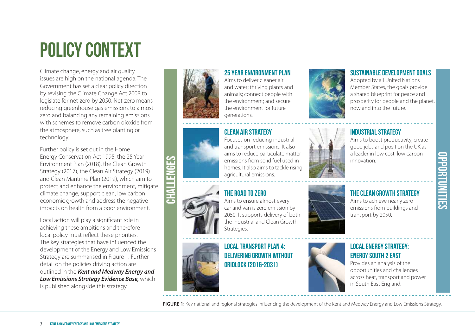# **POLICY CONTEXT**

Climate change, energy and air quality issues are high on the national agenda. The Government has set a clear policy direction by revising the Climate Change Act 2008 to legislate for net-zero by 2050. Net-zero means reducing greenhouse gas emissions to almost zero and balancing any remaining emissions with schemes to remove carbon dioxide from the atmosphere, such as tree planting or technology.

Further policy is set out in the Home Energy Conservation Act 1995, the 25 Year Environment Plan (2018), the Clean Growth Strategy (2017), the Clean Air Strategy (2019) and Clean Maritime Plan (2019), which aim to protect and enhance the environment, mitigate climate change, support clean, low carbon economic growth and address the negative impacts on health from a poor environment.

Local action will play a significant role in achieving these ambitions and therefore local policy must reflect these priorities. The key strategies that have influenced the development of the Energy and Low Emissions Strategy are summarised in Figure 1. Further detail on the policies driving action are outlined in the *Kent and Medway Energy and Low Emissions Strategy Evidence Base,* which is published alongside this strategy.



#### **25 YEAR ENVIRONMENT PLAN**

Aims to deliver cleaner air and water; thriving plants and animals; connect people with the environment; and secure the environment for future generations.

## **Clean Air Strategy**



Focuses on reducing industrial and transport emissions. It also aims to reduce particulate matter emissions from solid fuel used in homes. It also aims to tackle rising agricultural emissions.

#### **The Road to Zero**

Aims to ensure almost every car and van is zero emission by 2050. It supports delivery of both the Industrial and Clean Growth Strategies.

**Local Transport Plan 4: Delivering Growth without Gridlock (2016-2031)**



#### **SUSTAINABLE DEVELOPMENT GOALS**

Adopted by all United Nations Member States, the goals provide a shared blueprint for peace and prosperity for people and the planet, now and into the future.

#### **Industrial Strategy**

Aims to boost productivity, create good jobs and position the UK as a leader in low cost, low carbon innovation.

#### **The Clean Growth Strategy**

Aims to achieve nearly zero emissions from buildings and transport by 2050.



#### **Local Energy Strategy: Energy South 2 East**

Provides an analysis of the opportunities and challenges across heat, transport and power in South East England.

**FIGURE 1:** Key national and regional strategies influencing the development of the Kent and Medway Energy and Low Emissions Strategy.

**OPPORTUNITIES** ш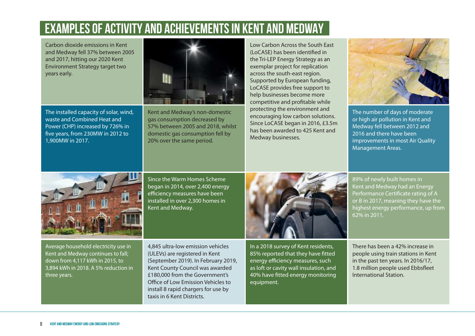## **EXAMPLES OF ACTIVITY AND ACHIEVEMENTS IN KENT AND MEDWAY**

Carbon dioxide emissions in Kent and Medway fell 37% between 2005 and 2017, hitting our 2020 Kent Environment Strategy target two years early.

The installed capacity of solar, wind, waste and Combined Heat and Power (CHP) increased by 726% in five years, from 230MW in 2012 to 1,900MW in 2017.

Kent and Medway's non-domestic gas consumption decreased by 57% between 2005 and 2018, whilst domestic gas consumption fell by 20% over the same period.

Low Carbon Across the South East (LoCASE) has been identified in the Tri-LEP Energy Strategy as an exemplar project for replication across the south-east region. Supported by European funding, LoCASE provides free support to help businesses become more competitive and profitable while protecting the environment and encouraging low carbon solutions. Since LoCASE began in 2016, £3.5m has been awarded to 425 Kent and Medway businesses.



The number of days of moderate or high air pollution in Kent and Medway fell between 2012 and 2016 and there have been improvements in most Air Quality Management Areas.



Since the Warm Homes Scheme began in 2014, over 2,400 energy efficiency measures have been installed in over 2,300 homes in Kent and Medway.

Average household electricity use in Kent and Medway continues to fall; down from 4,117 kWh in 2015, to 3,894 kWh in 2018. A 5% reduction in three years.

4,845 ultra-low emission vehicles (ULEVs) are registered in Kent (September 2019). In February 2019, Kent County Council was awarded £180,000 from the Government's Office of Low Emission Vehicles to install 8 rapid chargers for use by taxis in 6 Kent Districts.



In a 2018 survey of Kent residents, 85% reported that they have fitted energy efficiency measures, such as loft or cavity wall insulation, and 40% have fitted energy monitoring equipment.

89% of newly built homes in Kent and Medway had an Energy Performance Certificate rating of A or B in 2017, meaning they have the highest energy performance, up from 62% in 2011.

There has been a 42% increase in people using train stations in Kent in the past ten years. In 2016/17, 1.8 million people used Ebbsfleet International Station.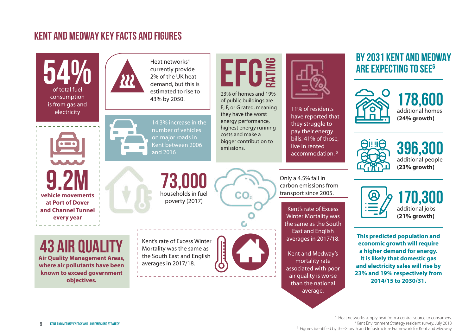### **KENT AND MEDWAY KEY FACTS AND figures**

54% of total fuel consumption is from gas and electricity

**vehicle movements 9.2m**

**at Port of Dover and Channel Tunnel every year**

Heat networks<sup>4</sup> currently provide 2% of the UK heat 43% by 2050.



14.3% increase in the number of vehicles on major roads in Kent between 2006 and 2016

**EFG** 23% of homes and 19% of public buildings are E, F, or G rated, meaning they have the worst energy performance, highest energy running costs and make a bigger contribution to

11% of residents have reported that they struggle to pay their energy

## bills. 41% of those, live in rented accommodation. <sup>5</sup>

## **BY 2031 KENT AND MEDWAY ARE EXPECTING TO SEE<sup>6</sup>**







**396,300** additional people

**(23% growth)**



**170,300** additional jobs **(21% growth)**

**This predicted population and economic growth will require a higher demand for energy. It is likely that domestic gas and electricity sales will rise by 23% and 19% respectively from 2014/15 to 2030/31.**

**73,000** CO. households in fuel poverty (2017)



emissions.

Kent's rate of Excess Winter Mortality was the same as the South East and English averages in 2017/18.



transport since 2005. Kent's rate of Excess Winter Mortality was the same as the South

Only a 4.5% fall in carbon emissions from

East and English averages in 2017/18.

Kent and Medway's mortality rate associated with poor air quality is worse than the national average.

**43 Air Quality**

**Air Quality Management Areas, where air pollutants have been known to exceed government objectives.**

> <sup>4</sup> Heat networks supply heat from a central source to consumers. <sup>5</sup> Kent Environment Strategy resident survey, July 2018 <sup>6</sup> Figures identified by the Growth and Infrastructure Framework for Kent and Medway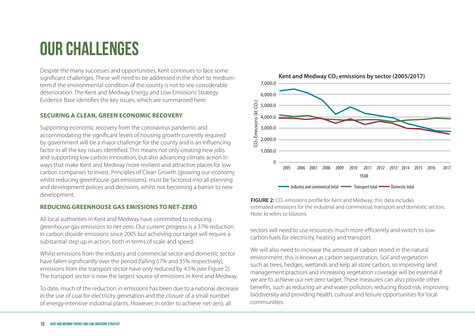## **OUR CHALLENGES**

Despite the many successes and opportunities, Kent continues to face some significant challenges. These will need to be addressed in the short to mediumterm if the environmental condition of the county is not to see considerable deterioration. The Kent and Medway Energy and Low Emissions Strategy Evidence Base identifies the key issues, which are summarised here:

#### **SECURING A CLEAN, GREEN ECONOMIC RECOVERY**

Supporting economic recovery from the coronavirus pandemic and accommodating the significant levels of housing growth currently required by government will be a major challenge for the county and is an influencing factor in all the key issues identified. This means not only creating new jobs and supporting low carbon innovation, but also advancing climate action in ways that make Kent and Medway more resilient and attractive places for low carbon companies to invest. Principles of Clean Growth (growing our economy whilst reducing greenhouse gas emissions), must be factored into all planning and development polices and decisions, whilst not becoming a barrier to new development.

#### **REDUCING GREENHOUSE GAS EMISSIONS TO NET-ZERO**

All local authorities in Kent and Medway have committed to reducing greenhouse gas emissions to net-zero. Our current progress is a 37% reduction in carbon dioxide emissions since 2005 but achieving our target will require a substantial step up in action, both in terms of scale and speed.

Whilst emissions from the industry and commercial sector and domestic sector have fallen significantly over the period (falling 57% and 35% respectively). emissions from the transport sector have only reduced by 4.5% (see Figure 2). The transport sector is now the largest source of emissions in Kent and Medway.

To date, much of the reduction in emissions has been due to a national decrease in the use of coal for electricity generation and the closure of a small number of energy-intensive industrial plants. However, in order to achieve net-zero, all



**FIGURE 2:** CO<sub>2</sub> emissions profile for Kent and Medway; this data includes estimated emissions for the industrial and commercial, transport and domestic sectors. Note: kt refers to kilotons

sectors will need to use resources much more efficiently and switch to lowcarbon fuels for electricity, heating and transport.

We will also need to increase the amount of carbon stored in the natural environment; this is known as carbon sequestration. Soil and vegetation such as trees, hedges, wetlands and kelp all store carbon, so improving land management practices and increasing vegetation coverage will be essential if we are to achieve our net-zero target. These measures can also provide other benefits, such as reducing air and water pollution, reducing flood risk, improving biodiversity and providing health, cultural and leisure opportunities for local communities.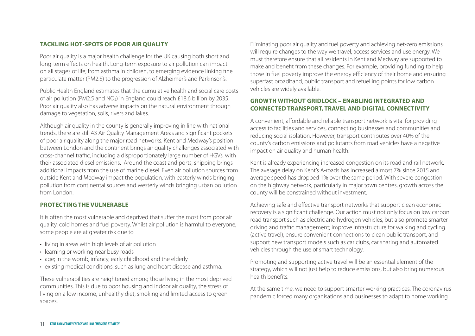#### **TACKLING HOT-SPOTS OF POOR AIR QUALITY**

Poor air quality is a major health challenge for the UK causing both short and long-term effects on health. Long-term exposure to air pollution can impact on all stages of life; from asthma in children, to emerging evidence linking fine particulate matter (PM2.5) to the progression of Alzheimer's and Parkinson's.

Public Health England estimates that the cumulative health and social care costs of air pollution (PM2.5 and NO2) in England could reach £18.6 billion by 2035. Poor air quality also has adverse impacts on the natural environment through damage to vegetation, soils, rivers and lakes.

Although air quality in the county is generally improving in line with national trends, there are still 43 Air Quality Management Areas and significant pockets of poor air quality along the major road networks. Kent and Medway's position between London and the continent brings air quality challenges associated with cross-channel traffic, including a disproportionately large number of HGVs, with their associated diesel emissions. Around the coast and ports, shipping brings additional impacts from the use of marine diesel. Even air pollution sources from outside Kent and Medway impact the population; with easterly winds bringing pollution from continental sources and westerly winds bringing urban pollution from London.

#### **PROTECTING THE VULNERABLE**

It is often the most vulnerable and deprived that suffer the most from poor air quality, cold homes and fuel poverty. Whilst air pollution is harmful to everyone, some people are at greater risk due to

- living in areas with high levels of air pollution
- learning or working near busy roads
- age; in the womb, infancy, early childhood and the elderly
- existing medical conditions, such as lung and heart disease and asthma.

These vulnerabilities are heightened among those living in the most deprived communities. This is due to poor housing and indoor air quality, the stress of living on a low income, unhealthy diet, smoking and limited access to green spaces.

Eliminating poor air quality and fuel poverty and achieving net-zero emissions will require changes to the way we travel, access services and use energy. We must therefore ensure that all residents in Kent and Medway are supported to make and benefit from these changes. For example, providing funding to help those in fuel poverty improve the energy efficiency of their home and ensuring superfast broadband, public transport and refuelling points for low carbon vehicles are widely available.

#### **GROWTH WITHOUT GRIDLOCK – ENABLING INTEGRATED AND CONNECTED TRANSPORT, TRAVEL AND DIGITAL CONNECTIVITY**

A convenient, affordable and reliable transport network is vital for providing access to facilities and services, connecting businesses and communities and reducing social isolation. However, transport contributes over 40% of the county's carbon emissions and pollutants from road vehicles have a negative impact on air quality and human health.

Kent is already experiencing increased congestion on its road and rail network. The average delay on Kent's A-roads has increased almost 7% since 2015 and average speed has dropped 1% over the same period. With severe congestion on the highway network, particularly in major town centres, growth across the county will be constrained without investment.

Achieving safe and effective transport networks that support clean economic recovery is a significant challenge. Our action must not only focus on low carbon road transport such as electric and hydrogen vehicles, but also promote smarter driving and traffic management; improve infrastructure for walking and cycling (active travel); ensure convenient connections to clean public transport; and support new transport models such as car clubs, car sharing and automated vehicles through the use of smart technology.

Promoting and supporting active travel will be an essential element of the strategy, which will not just help to reduce emissions, but also bring numerous health benefits.

At the same time, we need to support smarter working practices. The coronavirus pandemic forced many organisations and businesses to adapt to home working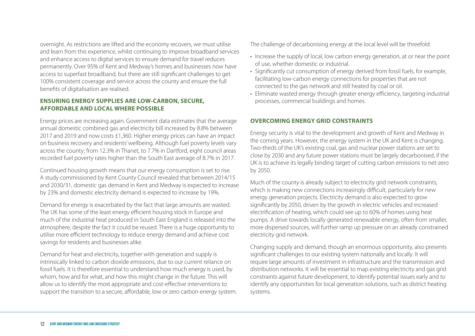overnight. As restrictions are lifted and the economy recovers, we must utilise and learn from this experience, whilst continuing to improve broadband services and enhance access to digital services to ensure demand for travel reduces permanently. Over 95% of Kent and Medway's homes and businesses now have access to superfast broadband, but there are still significant challenges to get 100% consistent coverage and service across the county and ensure the full benefits of digitalisation are realised.

#### **ENSURING ENERGY SUPPLIES ARE LOW-CARBON, SECURE, AFFORDABLE AND LOCAL WHERE POSSIBLE**

Energy prices are increasing again. Government data estimates that the average annual domestic combined gas and electricity bill increased by 8.8% between 2017 and 2019 and now costs £1,360. Higher energy prices can have an impact on business recovery and residents' wellbeing. Although fuel poverty levels vary across the county; from 12.3% in Thanet, to 7.7% in Dartford, eight council areas recorded fuel poverty rates higher than the South East average of 8.7% in 2017.

Continued housing growth means that our energy consumption is set to rise. A study commissioned by Kent County Council revealed that between 2014/15 and 2030/31, domestic gas demand in Kent and Medway is expected to increase by 23% and domestic electricity demand is expected to increase by 19%.

Demand for energy is exacerbated by the fact that large amounts are wasted. The UK has some of the least energy efficient housing stock in Europe and much of the industrial heat produced in South East England is released into the atmosphere, despite the fact it could be reused. There is a huge opportunity to utilise more efficient technology to reduce energy demand and achieve cost savings for residents and businesses alike.

Demand for heat and electricity, together with generation and supply is intrinsically linked to carbon dioxide emissions, due to our current reliance on fossil fuels. It is therefore essential to understand how much energy is used, by whom, how and for what, and how this might change in the future. This will allow us to identify the most appropriate and cost-effective interventions to support the transition to a secure, affordable, low or zero carbon energy system. The challenge of decarbonising energy at the local level will be threefold:

- Increase the supply of local, low carbon energy generation, at or near the point of use, whether domestic or industrial.
- Significantly cut consumption of energy derived from fossil fuels, for example, facilitating low-carbon energy connections for properties that are not connected to the gas network and still heated by coal or oil.
- Eliminate wasted energy through greater energy efficiency, targeting industrial processes, commercial buildings and homes.

#### **OVERCOMING ENERGY GRID CONSTRAINTS**

Energy security is vital to the development and growth of Kent and Medway in the coming years. However, the energy system in the UK and Kent is changing. Two-thirds of the UK's existing coal, gas and nuclear power stations are set to close by 2030 and any future power stations must be largely decarbonised, if the UK is to achieve its legally binding target of cutting carbon emissions to net-zero by 2050.

Much of the county is already subject to electricity grid network constraints, which is making new connections increasingly difficult, particularly for new energy generation projects. Electricity demand is also expected to grow significantly by 2050, driven by the growth in electric vehicles and increased electrification of heating, which could see up to 60% of homes using heat pumps. A drive towards locally generated renewable energy, often from smaller, more dispersed sources, will further ramp up pressure on an already constrained electricity grid network.

Changing supply and demand, though an enormous opportunity, also presents significant challenges to our existing system nationally and locally. It will require large amounts of investment in infrastructure and the transmission and distribution networks. It will be essential to map existing electricity and gas grid constraints against future development, to identify potential issues early and to identify any opportunities for local generation solutions, such as district heating systems.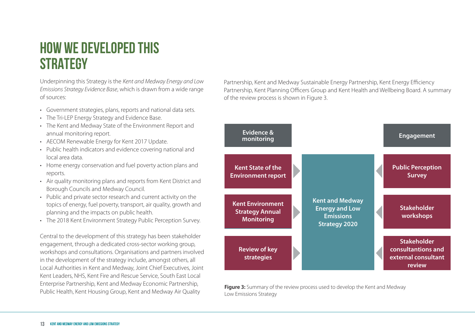## **HOW WE DEVELOPED THIS STRATEGY**

Underpinning this Strategy is the *Kent and Medway Energy and Low Emissions Strategy Evidence Base*, which is drawn from a wide range of sources:

- Government strategies, plans, reports and national data sets.
- The Tri-LEP Energy Strategy and Evidence Base.
- The Kent and Medway State of the Environment Report and annual monitoring report.
- AECOM Renewable Energy for Kent 2017 Update.
- Public health indicators and evidence covering national and local area data.
- Home energy conservation and fuel poverty action plans and reports.
- Air quality monitoring plans and reports from Kent District and Borough Councils and Medway Council.
- Public and private sector research and current activity on the topics of energy, fuel poverty, transport, air quality, growth and planning and the impacts on public health.
- The 2018 Kent Environment Strategy Public Perception Survey.

Central to the development of this strategy has been stakeholder engagement, through a dedicated cross-sector working group, workshops and consultations. Organisations and partners involved in the development of the strategy include, amongst others, all Local Authorities in Kent and Medway, Joint Chief Executives, Joint Kent Leaders, NHS, Kent Fire and Rescue Service, South East Local Enterprise Partnership, Kent and Medway Economic Partnership, Public Health, Kent Housing Group, Kent and Medway Air Quality

Partnership, Kent and Medway Sustainable Energy Partnership, Kent Energy Efficiency Partnership, Kent Planning Officers Group and Kent Health and Wellbeing Board. A summary of the review process is shown in Figure 3.



**Figure 3:** Summary of the review process used to develop the Kent and Medway Low Emissions Strategy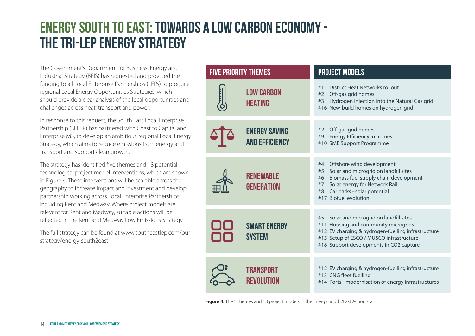## **ENERGY SOUTH TO EAST: TOWARDS A LOW CARBON ECONOMY -THE TRI-LEP ENERGY STRATEGY**

The Government's Department for Business, Energy and Industrial Strategy (BEIS) has requested and provided the funding to all Local Enterprise Partnerships (LEPs) to produce regional Local Energy Opportunities Strategies, which should provide a clear analysis of the local opportunities and challenges across heat, transport and power.

In response to this request, the South East Local Enterprise Partnership (SELEP) has partnered with Coast to Capital and Enterprise M3, to develop an ambitious regional Local Energy Strategy, which aims to reduce emissions from energy and transport and support clean growth.

The strategy has identified five themes and 18 potential technological project model interventions, which are shown in Figure 4. These interventions will be scalable across the geography to increase impact and investment and develop partnership working across Local Enterprise Partnerships, including Kent and Medway. Where project models are relevant for Kent and Medway, suitable actions will be reflected in the Kent and Medway Low Emissions Strategy.

The full strategy can be found at www.southeastlep.com/ourstrategy/energy-south2east.

| <b>FIVE PRIORITY THEMES</b>                   | <b>PROJECT MODELS</b>                                                                                                                                                                                                              |
|-----------------------------------------------|------------------------------------------------------------------------------------------------------------------------------------------------------------------------------------------------------------------------------------|
| <b>LOW CARBON</b><br><b>HEATING</b>           | <b>District Heat Networks rollout</b><br>#1<br>Off-gas grid homes<br>#2<br>Hydrogen injection into the Natural Gas grid<br>#3<br>#16 New-build homes on hydrogen grid                                                              |
| <b>ENERGY SAVING</b><br><b>AND EFFICIENCY</b> | Off-gas grid homes<br>#2<br>Energy Efficiency in homes<br>#9<br>#10 SME Support Programme                                                                                                                                          |
| <b>RENEWABLE</b><br><b>GENERATION</b>         | Offshore wind development<br>#4<br>Solar and microgrid on landfill sites<br>#5<br>Biomass fuel supply chain development<br>#6<br>Solar energy for Network Rail<br>#7<br>Car parks - solar potential<br>#8<br>#17 Biofuel evolution |
| <b>SMART ENERGY</b><br><b>SYSTEM</b>          | Solar and microgrid on landfill sites<br>#5<br>#11 Housing and community microgrids<br>#12 EV charging & hydrogen-fuelling infrastructure<br>#15 Setup of ESCO / MUSCO infrastructure<br>#18 Support developments in CO2 capture   |
| TRANSPORT<br>REVOLUTION                       | #12 EV charging & hydrogen-fuelling infrastructure<br>#13 CNG fleet fuelling<br>#14 Ports - modernisation of energy infrastructures                                                                                                |

**Figure 4:** The 5 themes and 18 project models in the Energy South2East Action Plan.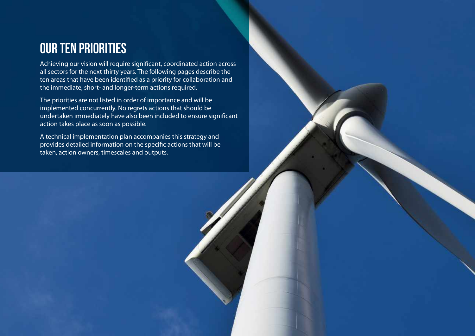## **Our ten priorities**

Achieving our vision will require significant, coordinated action across all sectors for the next thirty years. The following pages describe the ten areas that have been identified as a priority for collaboration and the immediate, short- and longer-term actions required.

The priorities are not listed in order of importance and will be implemented concurrently. No regrets actions that should be undertaken immediately have also been included to ensure significant action takes place as soon as possible.

A technical implementation plan accompanies this strategy and provides detailed information on the specific actions that will be taken, action owners, timescales and outputs.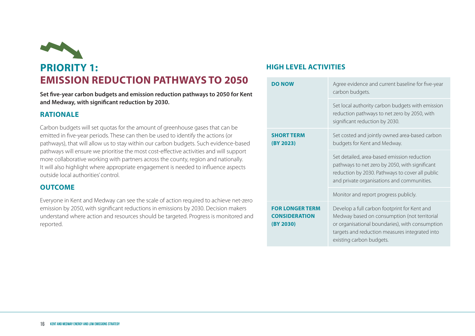

**Set five-year carbon budgets and emission reduction pathways to 2050 for Kent and Medway, with significant reduction by 2030.**

#### **RATIONALE**

Carbon budgets will set quotas for the amount of greenhouse gases that can be emitted in five-year periods. These can then be used to identify the actions (or pathways), that will allow us to stay within our carbon budgets. Such evidence-based pathways will ensure we prioritise the most cost-effective activities and will support more collaborative working with partners across the county, region and nationally. It will also highlight where appropriate engagement is needed to influence aspects outside local authorities' control.

#### **OUTCOME**

Everyone in Kent and Medway can see the scale of action required to achieve net-zero emission by 2050, with significant reductions in emissions by 2030. Decision makers understand where action and resources should be targeted. Progress is monitored and reported.

| <b>DO NOV</b>                                               | Agree evidence and current baseline for five-year<br>carbon budgets.                                                                                                                                                          |
|-------------------------------------------------------------|-------------------------------------------------------------------------------------------------------------------------------------------------------------------------------------------------------------------------------|
|                                                             | Set local authority carbon budgets with emission<br>reduction pathways to net zero by 2050, with<br>significant reduction by 2030.                                                                                            |
| <b>SHORT TERM</b><br>(BY 2023)                              | Set costed and jointly owned area-based carbon<br>budgets for Kent and Medway.                                                                                                                                                |
|                                                             | Set detailed, area-based emission reduction<br>pathways to net zero by 2050, with significant<br>reduction by 2030. Pathways to cover all public<br>and private organisations and communities.                                |
|                                                             | Monitor and report progress publicly.                                                                                                                                                                                         |
| <b>FOR LONGER TERM</b><br><b>CONSIDERATION</b><br>(BY 2030) | Develop a full carbon footprint for Kent and<br>Medway based on consumption (not territorial<br>or organisational boundaries), with consumption<br>targets and reduction measures integrated into<br>existing carbon budgets. |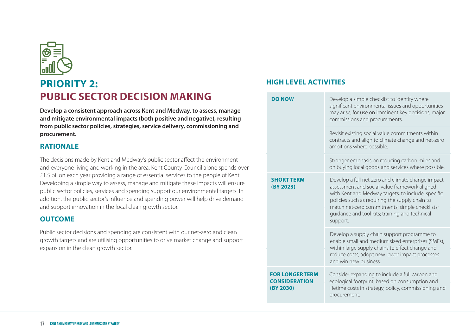

### **PRIORITY 2: PUBLIC SECTOR DECISION MAKING**

**Develop a consistent approach across Kent and Medway, to assess, manage and mitigate environmental impacts (both positive and negative), resulting from public sector policies, strategies, service delivery, commissioning and procurement.**

#### **RATIONALE**

The decisions made by Kent and Medway's public sector affect the environment and everyone living and working in the area. Kent County Council alone spends over £1.5 billon each year providing a range of essential services to the people of Kent. Developing a simple way to assess, manage and mitigate these impacts will ensure public sector policies, services and spending support our environmental targets. In addition, the public sector's influence and spending power will help drive demand and support innovation in the local clean growth sector.

#### **OUTCOME**

Public sector decisions and spending are consistent with our net-zero and clean growth targets and are utilising opportunities to drive market change and support expansion in the clean growth sector.

| <b>DO NOW</b>                                              | Develop a simple checklist to identify where<br>significant environmental issues and opportunities<br>may arise, for use on imminent key decisions, major<br>commissions and procurements.                                                                                                                                 |
|------------------------------------------------------------|----------------------------------------------------------------------------------------------------------------------------------------------------------------------------------------------------------------------------------------------------------------------------------------------------------------------------|
|                                                            | Revisit existing social value commitments within<br>contracts and align to climate change and net-zero<br>ambitions where possible.                                                                                                                                                                                        |
|                                                            | Stronger emphasis on reducing carbon miles and<br>on buying local goods and services where possible.                                                                                                                                                                                                                       |
| <b>SHORT TERM</b><br>(BY 2023)                             | Develop a full net-zero and climate change impact<br>assessment and social value framework aligned<br>with Kent and Medway targets, to include: specific<br>policies such as requiring the supply chain to<br>match net-zero commitments; simple checklists;<br>guidance and tool kits; training and technical<br>support. |
|                                                            | Develop a supply chain support programme to<br>enable small and medium sized enterprises (SMEs),<br>within large supply chains to effect change and<br>reduce costs; adopt new lower impact processes<br>and win new business.                                                                                             |
| <b>FOR LONGERTERM</b><br><b>CONSIDERATION</b><br>(BY 2030) | Consider expanding to include a full carbon and<br>ecological footprint, based on consumption and<br>lifetime costs in strategy, policy, commissioning and<br>procurement.                                                                                                                                                 |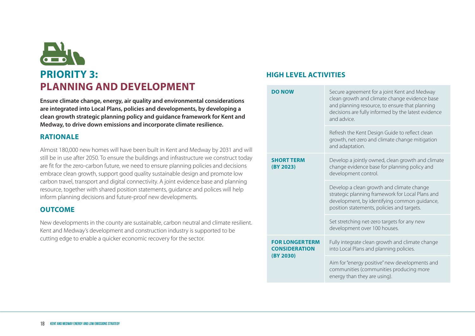# **PRIORITY 3: PLANNING AND DEVELOPMENT**

**Ensure climate change, energy, air quality and environmental considerations are integrated into Local Plans, policies and developments, by developing a clean growth strategic planning policy and guidance framework for Kent and Medway, to drive down emissions and incorporate climate resilience.**

#### **RATIONALE**

Almost 180,000 new homes will have been built in Kent and Medway by 2031 and will still be in use after 2050. To ensure the buildings and infrastructure we construct today are fit for the zero-carbon future, we need to ensure planning policies and decisions embrace clean growth, support good quality sustainable design and promote low carbon travel, transport and digital connectivity. A joint evidence base and planning resource, together with shared position statements, guidance and polices will help inform planning decisions and future-proof new developments.

#### **OUTCOME**

New developments in the county are sustainable, carbon neutral and climate resilient. Kent and Medway's development and construction industry is supported to be cutting edge to enable a quicker economic recovery for the sector.

| <b>DO NOW</b>                                              | Secure agreement for a joint Kent and Medway<br>clean growth and climate change evidence base<br>and planning resource, to ensure that planning<br>decisions are fully informed by the latest evidence<br>and advice. |
|------------------------------------------------------------|-----------------------------------------------------------------------------------------------------------------------------------------------------------------------------------------------------------------------|
|                                                            | Refresh the Kent Design Guide to reflect clean<br>growth, net-zero and climate change mitigation<br>and adaptation.                                                                                                   |
| <b>SHORT TERM</b><br>(BY 2023)                             | Develop a jointly owned, clean growth and climate<br>change evidence base for planning policy and<br>development control.                                                                                             |
|                                                            | Develop a clean growth and climate change<br>strategic planning framework for Local Plans and<br>development, by identifying common guidance,<br>position statements, policies and targets.                           |
|                                                            | Set stretching net-zero targets for any new<br>development over 100 houses.                                                                                                                                           |
| <b>FOR LONGERTERM</b><br><b>CONSIDERATION</b><br>(BY 2030) | Fully integrate clean growth and climate change<br>into Local Plans and planning policies.                                                                                                                            |
|                                                            | Aim for "energy positive" new developments and<br>communities (communities producing more<br>energy than they are using).                                                                                             |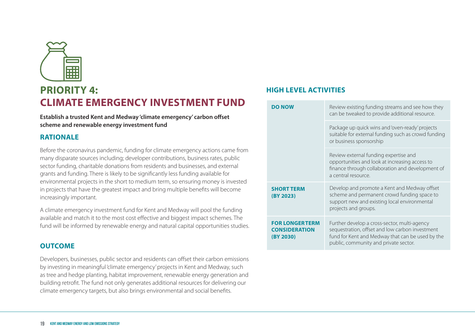

## **PRIORITY 4: CLIMATE EMERGENCY INVESTMENT FUND**

**Establish a trusted Kent and Medway 'climate emergency' carbon offset scheme and renewable energy investment fund**

#### **RATIONALE**

Before the coronavirus pandemic, funding for climate emergency actions came from many disparate sources including; developer contributions, business rates, public sector funding, charitable donations from residents and businesses, and external grants and funding. There is likely to be significantly less funding available for environmental projects in the short to medium term, so ensuring money is invested in projects that have the greatest impact and bring multiple benefits will become increasingly important.

A climate emergency investment fund for Kent and Medway will pool the funding available and match it to the most cost effective and biggest impact schemes. The fund will be informed by renewable energy and natural capital opportunities studies.

#### **OUTCOME**

Developers, businesses, public sector and residents can offset their carbon emissions by investing in meaningful 'climate emergency' projects in Kent and Medway, such as tree and hedge planting, habitat improvement, renewable energy generation and building retrofit. The fund not only generates additional resources for delivering our climate emergency targets, but also brings environmental and social benefits.

| <b>DO NOW</b>                                              | Review existing funding streams and see how they<br>can be tweaked to provide additional resource.                                                                                           |
|------------------------------------------------------------|----------------------------------------------------------------------------------------------------------------------------------------------------------------------------------------------|
|                                                            | Package up quick wins and 'oven-ready' projects<br>suitable for external funding such as crowd funding<br>or business sponsorship                                                            |
|                                                            | Review external funding expertise and<br>opportunities and look at increasing access to<br>finance through collaboration and development of<br>a central resource.                           |
| <b>SHORT TERM</b><br>(BY 2023)                             | Develop and promote a Kent and Medway offset<br>scheme and permanent crowd funding space to<br>support new and existing local environmental<br>projects and groups.                          |
| <b>FOR LONGERTERM</b><br><b>CONSIDERATION</b><br>(BY 2030) | Further develop a cross-sector, multi-agency<br>sequestration, offset and low carbon investment<br>fund for Kent and Medway that can be used by the<br>public, community and private sector. |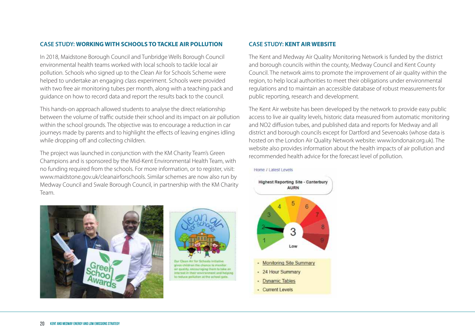#### **CASE STUDY: WORKING WITH SCHOOLS TO TACKLE AIR POLLUTION**

In 2018, Maidstone Borough Council and Tunbridge Wells Borough Council environmental health teams worked with local schools to tackle local air pollution. Schools who signed up to the Clean Air for Schools Scheme were helped to undertake an engaging class experiment. Schools were provided with two free air monitoring tubes per month, along with a teaching pack and guidance on how to record data and report the results back to the council.

This hands-on approach allowed students to analyse the direct relationship between the volume of traffic outside their school and its impact on air pollution within the school grounds. The objective was to encourage a reduction in car journeys made by parents and to highlight the effects of leaving engines idling while dropping off and collecting children.

The project was launched in conjunction with the KM Charity Team's Green Champions and is sponsored by the Mid-Kent Environmental Health Team, with no funding required from the schools. For more information, or to register, visit: www.maidstone.gov.uk/cleanairforschools. Similar schemes are now also run by Medway Council and Swale Borough Council, in partnership with the KM Charity Team.





lity, encouraging them to take a torest in their environment and helpi

#### **CASE STUDY: KENT AIR WEBSITE**

The Kent and Medway Air Quality Monitoring Network is funded by the district and borough councils within the county, Medway Council and Kent County Council. The network aims to promote the improvement of air quality within the region, to help local authorities to meet their obligations under environmental regulations and to maintain an accessible database of robust measurements for public reporting, research and development.

The Kent Air website has been developed by the network to provide easy public access to live air quality levels, historic data measured from automatic monitoring and NO2 diffusion tubes, and published data and reports for Medway and all district and borough councils except for Dartford and Sevenoaks (whose data is hosted on the London Air Quality Network website: www.londonair.org.uk). The website also provides information about the health impacts of air pollution and recommended health advice for the forecast level of pollution.



#### Home / Latest Levels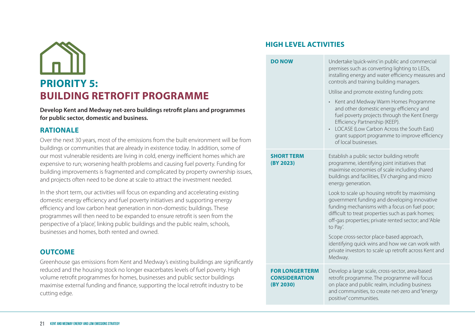# **PRIORITY 5: BUILDING RETROFIT PROGRAMME**

**Develop Kent and Medway net-zero buildings retrofit plans and programmes for public sector, domestic and business.**

#### **RATIONALE**

Over the next 30 years, most of the emissions from the built environment will be from buildings or communities that are already in existence today. In addition, some of our most vulnerable residents are living in cold, energy inefficient homes which are expensive to run; worsening health problems and causing fuel poverty. Funding for building improvements is fragmented and complicated by property ownership issues, and projects often need to be done at scale to attract the investment needed.

In the short term, our activities will focus on expanding and accelerating existing domestic energy efficiency and fuel poverty initiatives and supporting energy efficiency and low carbon heat generation in non-domestic buildings. These programmes will then need to be expanded to ensure retrofit is seen from the perspective of a 'place', linking public buildings and the public realm, schools, businesses and homes, both rented and owned.

#### **OUTCOME**

Greenhouse gas emissions from Kent and Medway's existing buildings are significantly reduced and the housing stock no longer exacerbates levels of fuel poverty. High volume retrofit programmes for homes, businesses and public sector buildings maximise external funding and finance, supporting the local retrofit industry to be cutting edge.

#### **HIGH LEVEL ACTIVITIES**

**DO NOW** Undertake 'quick-wins' in public and commercial premises such as converting lighting to LEDs, installing energy and water efficiency measures and controls and training building managers. Utilise and promote existing funding pots: • Kent and Medway Warm Homes Programme and other domestic energy efficiency and fuel poverty projects through the Kent Energy Efficiency Partnership (KEEP). • LOCASE (Low Carbon Across the South East) grant support programme to improve efficiency of local businesses. **SHORT TERM (BY 2023)** Establish a public sector building retrofit programme, identifying joint initiatives that maximise economies of scale including shared buildings and facilities, EV charging and micro energy generation. Look to scale up housing retrofit by maximising government funding and developing innovative funding mechanisms with a focus on fuel poor; difficult to treat properties such as park homes; off-gas properties; private rented sector; and 'Able to Pay'. Scope cross-sector place-based approach, identifying quick wins and how we can work with private investors to scale up retrofit across Kent and Medway. **FOR LONGERTERM CONSIDERATION (BY 2030)** Develop a large scale, cross-sector, area-based retrofit programme. The programme will focus on place and public realm, including business and communities, to create net-zero and"energy positive" communities.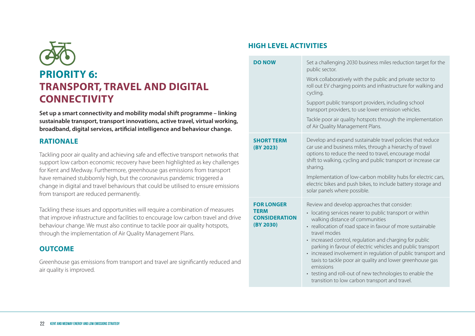

**Set up a smart connectivity and mobility modal shift programme – linking sustainable transport, transport innovations, active travel, virtual working, broadband, digital services, artificial intelligence and behaviour change.**

#### **RATIONALE**

Tackling poor air quality and achieving safe and effective transport networks that support low carbon economic recovery have been highlighted as key challenges for Kent and Medway. Furthermore, greenhouse gas emissions from transport have remained stubbornly high, but the coronavirus pandemic triggered a change in digital and travel behaviours that could be utilised to ensure emissions from transport are reduced permanently.

Tackling these issues and opportunities will require a combination of measures that improve infrastructure and facilities to encourage low carbon travel and drive behaviour change. We must also continue to tackle poor air quality hotspots, through the implementation of Air Quality Management Plans.

#### **OUTCOME**

Greenhouse gas emissions from transport and travel are significantly reduced and air quality is improved.

| <b>DO NOW</b>                                                         | Set a challenging 2030 business miles reduction target for the<br>public sector.<br>Work collaboratively with the public and private sector to<br>roll out EV charging points and infrastructure for walking and<br>cycling.<br>Support public transport providers, including school<br>transport providers, to use lower emission vehicles.<br>Tackle poor air quality hotspots through the implementation<br>of Air Quality Management Plans.                                                                                                                                                              |
|-----------------------------------------------------------------------|--------------------------------------------------------------------------------------------------------------------------------------------------------------------------------------------------------------------------------------------------------------------------------------------------------------------------------------------------------------------------------------------------------------------------------------------------------------------------------------------------------------------------------------------------------------------------------------------------------------|
| <b>SHORT TERM</b><br>(BY 2023)                                        | Develop and expand sustainable travel policies that reduce<br>car use and business miles, through a hierarchy of travel<br>options to reduce the need to travel, encourage modal<br>shift to walking, cycling and public transport or increase car<br>sharing.<br>Implementation of low-carbon mobility hubs for electric cars,<br>electric bikes and push bikes, to include battery storage and<br>solar panels where possible.                                                                                                                                                                             |
| <b>FOR LONGER</b><br><b>TERM</b><br><b>CONSIDERATION</b><br>(BY 2030) | Review and develop approaches that consider:<br>• locating services nearer to public transport or within<br>walking distance of communities<br>• reallocation of road space in favour of more sustainable<br>travel modes<br>• increased control, regulation and charging for public<br>parking in favour of electric vehicles and public transport<br>• increased involvement in regulation of public transport and<br>taxis to tackle poor air quality and lower greenhouse gas<br>emissions<br>• testing and roll-out of new technologies to enable the<br>transition to low carbon transport and travel. |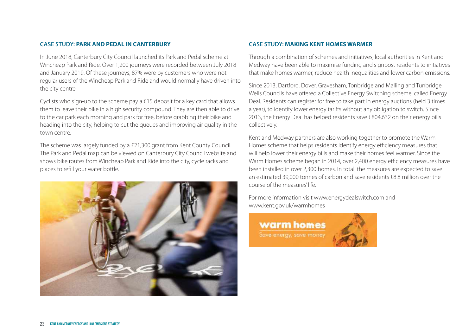#### **CASE STUDY: PARK AND PEDAL IN CANTERBURY**

In June 2018, Canterbury City Council launched its Park and Pedal scheme at Wincheap Park and Ride. Over 1,200 journeys were recorded between July 2018 and January 2019. Of these journeys, 87% were by customers who were not regular users of the Wincheap Park and Ride and would normally have driven into the city centre.

Cyclists who sign-up to the scheme pay a £15 deposit for a key card that allows them to leave their bike in a high security compound. They are then able to drive to the car park each morning and park for free, before grabbing their bike and heading into the city, helping to cut the queues and improving air quality in the town centre.

The scheme was largely funded by a £21,300 grant from Kent County Council. The Park and Pedal map can be viewed on Canterbury City Council website and shows bike routes from Wincheap Park and Ride into the city, cycle racks and places to refill your water bottle.



#### **CASE STUDY: MAKING KENT HOMES WARMER**

Through a combination of schemes and initiatives, local authorities in Kent and Medway have been able to maximise funding and signpost residents to initiatives that make homes warmer, reduce health inequalities and lower carbon emissions.

Since 2013, Dartford, Dover, Gravesham, Tonbridge and Malling and Tunbridge Wells Councils have offered a Collective Energy Switching scheme, called Energy Deal. Residents can register for free to take part in energy auctions (held 3 times a year), to identify lower energy tariffs without any obligation to switch. Since 2013, the Energy Deal has helped residents save £804,632 on their energy bills collectively.

Kent and Medway partners are also working together to promote the Warm Homes scheme that helps residents identify energy efficiency measures that will help lower their energy bills and make their homes feel warmer. Since the Warm Homes scheme began in 2014, over 2,400 energy efficiency measures have been installed in over 2,300 homes. In total, the measures are expected to save an estimated 39,000 tonnes of carbon and save residents £8.8 million over the course of the measures' life.

For more information visit www.energydealswitch.com and www.kent.gov.uk/warmhomes

**warm** homes Save energy, save money

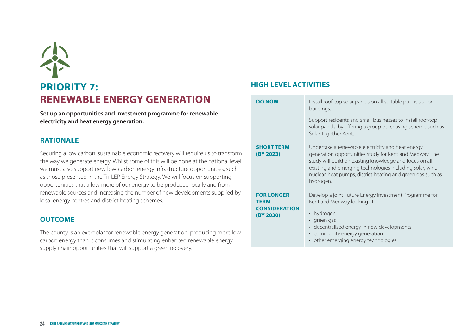# **PRIORITY 7: RENEWABLE ENERGY GENERATION**

**Set up an opportunities and investment programme for renewable electricity and heat energy generation.**

#### **RATIONALE**

Securing a low carbon, sustainable economic recovery will require us to transform the way we generate energy. Whilst some of this will be done at the national level, we must also support new low-carbon energy infrastructure opportunities, such as those presented in the Tri-LEP Energy Strategy. We will focus on supporting opportunities that allow more of our energy to be produced locally and from renewable sources and increasing the number of new developments supplied by local energy centres and district heating schemes.

#### **OUTCOME**

The county is an exemplar for renewable energy generation; producing more low carbon energy than it consumes and stimulating enhanced renewable energy supply chain opportunities that will support a green recovery.

| <b>DO NOW</b>                                                         | Install roof-top solar panels on all suitable public sector<br>buildings.<br>Support residents and small businesses to install roof-top<br>solar panels, by offering a group purchasing scheme such as<br>Solar Together Kent.                                                                                   |
|-----------------------------------------------------------------------|------------------------------------------------------------------------------------------------------------------------------------------------------------------------------------------------------------------------------------------------------------------------------------------------------------------|
| <b>SHORT TERM</b><br>(BY 2023)                                        | Undertake a renewable electricity and heat energy<br>generation opportunities study for Kent and Medway. The<br>study will build on existing knowledge and focus on all<br>existing and emerging technologies including solar, wind,<br>nuclear, heat pumps, district heating and green gas such as<br>hydrogen. |
| <b>FOR LONGER</b><br><b>TERM</b><br><b>CONSIDERATION</b><br>(BY 2030) | Develop a joint Future Energy Investment Programme for<br>Kent and Medway looking at:<br>• hydrogen<br>· green gas<br>• decentralised energy in new developments<br>• community energy generation<br>• other emerging energy technologies.                                                                       |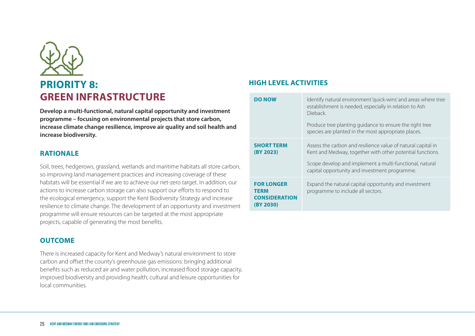

**Develop a multi-functional, natural capital opportunity and investment programme – focusing on environmental projects that store carbon, increase climate change resilience, improve air quality and soil health and increase biodiversity.**

#### **RATIONALE**

Soil, trees, hedgerows, grassland, wetlands and maritime habitats all store carbon, so improving land management practices and increasing coverage of these habitats will be essential if we are to achieve our net-zero target. In addition, our actions to increase carbon storage can also support our efforts to respond to the ecological emergency, support the Kent Biodiversity Strategy and increase resilience to climate change. The development of an opportunity and investment programme will ensure resources can be targeted at the most appropriate projects, capable of generating the most benefits.

#### **OUTCOME**

There is increased capacity for Kent and Medway's natural environment to store carbon and offset the county's greenhouse gas emissions: bringing additional benefits such as reduced air and water pollution, increased flood storage capacity, improved biodiversity and providing health, cultural and leisure opportunities for local communities.

| <b>DO NOW</b>                                                         | Identify natural environment 'quick-wins' and areas where tree<br>establishment is needed, especially in relation to Ash<br>Dieback.<br>Produce tree planting guidance to ensure the right tree<br>species are planted in the most appropriate places. |
|-----------------------------------------------------------------------|--------------------------------------------------------------------------------------------------------------------------------------------------------------------------------------------------------------------------------------------------------|
| <b>SHORT TERM</b><br>(BY 2023)                                        | Assess the carbon and resilience value of natural capital in<br>Kent and Medway, together with other potential functions.<br>Scope develop and implement a multi-functional, natural<br>capital opportunity and investment programme.                  |
| <b>FOR LONGER</b><br><b>TERM</b><br><b>CONSIDERATION</b><br>(BY 2030) | Expand the natural capital opportunity and investment<br>programme to include all sectors.                                                                                                                                                             |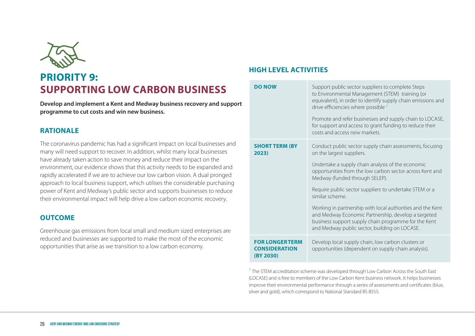

## **PRIORITY 9: SUPPORTING LOW CARBON BUSINESS**

**Develop and implement a Kent and Medway business recovery and support programme to cut costs and win new business.**

#### **RATIONALE**

The coronavirus pandemic has had a significant impact on local businesses and many will need support to recover. In addition, whilst many local businesses have already taken action to save money and reduce their impact on the environment, our evidence shows that this activity needs to be expanded and rapidly accelerated if we are to achieve our low carbon vision. A dual pronged approach to local business support, which utilises the considerable purchasing power of Kent and Medway's public sector and supports businesses to reduce their environmental impact will help drive a low carbon economic recovery.

#### **OUTCOME**

Greenhouse gas emissions from local small and medium sized enterprises are reduced and businesses are supported to make the most of the economic opportunities that arise as we transition to a low carbon economy.

#### **HIGH LEVEL ACTIVITIES**

| <b>DO NOW</b>                                              | Support public sector suppliers to complete Steps<br>to Environmental Management (STEM) training (or<br>equivalent), in order to identify supply chain emissions and<br>drive efficiencies where possible <sup>7</sup><br>Promote and refer businesses and supply chain to LOCASE,<br>for support and access to grant funding to reduce their<br>costs and access new markets.                                                                                                                                                                      |
|------------------------------------------------------------|-----------------------------------------------------------------------------------------------------------------------------------------------------------------------------------------------------------------------------------------------------------------------------------------------------------------------------------------------------------------------------------------------------------------------------------------------------------------------------------------------------------------------------------------------------|
| <b>SHORT TERM (BY</b><br>2023)                             | Conduct public sector supply chain assessments, focusing<br>on the largest suppliers.<br>Undertake a supply chain analysis of the economic<br>opportunities from the low carbon sector across Kent and<br>Medway (funded through SELEP).<br>Require public sector suppliers to undertake STEM or a<br>similar scheme.<br>Working in partnership with local authorities and the Kent<br>and Medway Economic Partnership, develop a targeted<br>business support supply chain programme for the Kent<br>and Medway public sector, building on LOCASE. |
| <b>FOR LONGERTERM</b><br><b>CONSIDERATION</b><br>(BY 2030) | Develop local supply chain, low carbon clusters or<br>opportunities (dependent on supply chain analysis).                                                                                                                                                                                                                                                                                                                                                                                                                                           |

 $<sup>7</sup>$  The STEM accreditation scheme was developed through Low Carbon Across the South East</sup> (LOCASE) and is free to members of the Low Carbon Kent business network. It helps businesses improve their environmental performance through a series of assessments and certificates (blue, silver and gold), which correspond to National Standard BS 8555.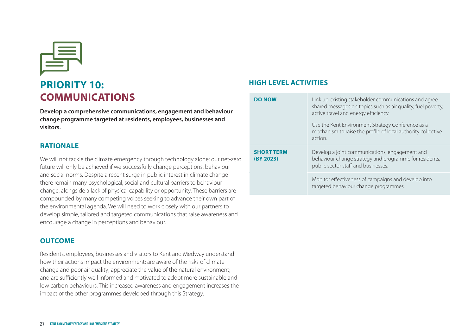

## **PRIORITY 10: COMMUNICATIONS**

**Develop a comprehensive communications, engagement and behaviour change programme targeted at residents, employees, businesses and visitors.**

#### **RATIONALE**

We will not tackle the climate emergency through technology alone: our net-zero future will only be achieved if we successfully change perceptions, behaviour and social norms. Despite a recent surge in public interest in climate change there remain many psychological, social and cultural barriers to behaviour change, alongside a lack of physical capability or opportunity. These barriers are compounded by many competing voices seeking to advance their own part of the environmental agenda. We will need to work closely with our partners to develop simple, tailored and targeted communications that raise awareness and encourage a change in perceptions and behaviour.

#### **OUTCOME**

Residents, employees, businesses and visitors to Kent and Medway understand how their actions impact the environment; are aware of the risks of climate change and poor air quality; appreciate the value of the natural environment; and are sufficiently well informed and motivated to adopt more sustainable and low carbon behaviours. This increased awareness and engagement increases the impact of the other programmes developed through this Strategy.

| <b>DO NOW</b>                  | Link up existing stakeholder communications and agree<br>shared messages on topics such as air quality, fuel poverty,<br>active travel and energy efficiency.<br>Use the Kent Environment Strategy Conference as a<br>mechanism to raise the profile of local authority collective<br>action. |
|--------------------------------|-----------------------------------------------------------------------------------------------------------------------------------------------------------------------------------------------------------------------------------------------------------------------------------------------|
| <b>SHORT TERM</b><br>(BY 2023) | Develop a joint communications, engagement and<br>behaviour change strategy and programme for residents,<br>public sector staff and businesses.                                                                                                                                               |
|                                | Monitor effectiveness of campaigns and develop into<br>targeted behaviour change programmes.                                                                                                                                                                                                  |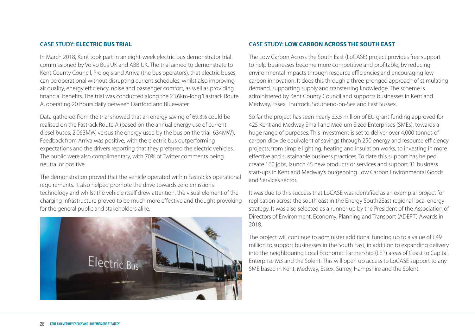#### **CASE STUDY: ELECTRIC BUS TRIAL**

In March 2018, Kent took part in an eight-week electric bus demonstrator trial commissioned by Volvo Bus UK and ABB UK. The trial aimed to demonstrate to Kent County Council, Prologis and Arriva (the bus operators), that electric buses can be operational without disrupting current schedules, whilst also improving air quality, energy efficiency, noise and passenger comfort, as well as providing financial benefits. The trial was conducted along the 23.6km-long 'Fastrack Route A', operating 20 hours daily between Dartford and Bluewater.

Data gathered from the trial showed that an energy saving of 69.3% could be realised on the Fastrack Route A (based on the annual energy use of current diesel buses; 2,063MW, versus the energy used by the bus on the trial; 634MW). Feedback from Arriva was positive, with the electric bus outperforming expectations and the drivers reporting that they preferred the electric vehicles. The public were also complimentary, with 70% of Twitter comments being neutral or positive.

The demonstration proved that the vehicle operated within Fastrack's operational requirements. It also helped promote the drive towards zero emissions technology and whilst the vehicle itself drew attention, the visual element of the charging infrastructure proved to be much more effective and thought provoking for the general public and stakeholders alike.



#### **CASE STUDY: LOW CARBON ACROSS THE SOUTH EAST**

The Low Carbon Across the South East (LoCASE) project provides free support to help businesses become more competitive and profitable, by reducing environmental impacts through resource efficiencies and encouraging low carbon innovation. It does this through a three-pronged approach of stimulating demand, supporting supply and transferring knowledge. The scheme is administered by Kent County Council and supports businesses in Kent and Medway, Essex, Thurrock, Southend-on-Sea and East Sussex.

So far the project has seen nearly £3.5 million of EU grant funding approved for 425 Kent and Medway Small and Medium Sized Enterprises (SMEs), towards a huge range of purposes. This investment is set to deliver over 4,000 tonnes of carbon dioxide equivalent of savings through 250 energy and resource efficiency projects; from simple lighting, heating and insulation works, to investing in more effective and sustainable business practices. To date this support has helped create 160 jobs, launch 45 new products or services and support 31 business start-ups in Kent and Medway's burgeoning Low Carbon Environmental Goods and Services sector.

It was due to this success that LoCASE was identified as an exemplar project for replication across the south east in the Energy South2East regional local energy strategy. It was also selected as a runner-up by the President of the Association of Directors of Environment, Economy, Planning and Transport (ADEPT) Awards in 2018.

The project will continue to administer additional funding up to a value of £49 million to support businesses in the South East, in addition to expanding delivery into the neighbouring Local Economic Partnership (LEP) areas of Coast to Capital, Enterprise M3 and the Solent. This will open up access to LoCASE support to any SME based in Kent, Medway, Essex, Surrey, Hampshire and the Solent.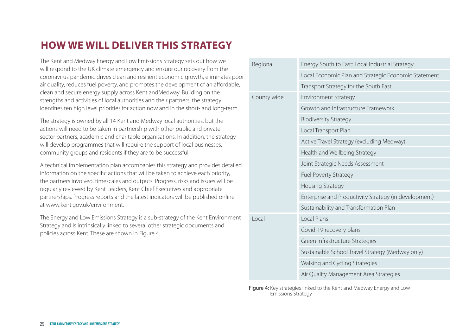## **HOW WE WILL DELIVER THIS STRATEGY**

The Kent and Medway Energy and Low Emissions Strategy sets out how we will respond to the UK climate emergency and ensure our recovery from the coronavirus pandemic drives clean and resilient economic growth, eliminates poor air quality, reduces fuel poverty, and promotes the development of an affordable, clean and secure energy supply across Kent andMedway. Building on the strengths and activities of local authorities and their partners, the strategy identifies ten high level priorities for action now and in the short- and long-term.

The strategy is owned by all 14 Kent and Medway local authorities, but the actions will need to be taken in partnership with other public and private sector partners, academic and charitable organisations. In addition, the strategy will develop programmes that will require the support of local businesses, community groups and residents if they are to be successful.

A technical implementation plan accompanies this strategy and provides detailed information on the specific actions that will be taken to achieve each priority, the partners involved, timescales and outputs. Progress, risks and issues will be regularly reviewed by Kent Leaders, Kent Chief Executives and appropriate partnerships. Progress reports and the latest indicators will be published online at www.kent.gov.uk/environment.

The Energy and Low Emissions Strategy is a sub-strategy of the Kent Environment Strategy and is intrinsically linked to several other strategic documents and policies across Kent. These are shown in Figure 4.

| Regional    | Energy South to East: Local Industrial Strategy       |
|-------------|-------------------------------------------------------|
|             | Local Economic Plan and Strategic Economic Statement  |
|             | Transport Strategy for the South East                 |
| County wide | <b>Environment Strategy</b>                           |
|             | Growth and Infrastructure Framework                   |
|             | <b>Biodiversity Strategy</b>                          |
|             | Local Transport Plan                                  |
|             | Active Travel Strategy (excluding Medway)             |
|             | Health and Wellbeing Strategy                         |
|             | Joint Strategic Needs Assessment                      |
|             | <b>Fuel Poverty Strategy</b>                          |
|             | Housing Strategy                                      |
|             | Enterprise and Productivity Strategy (in development) |
|             | Sustainability and Transformation Plan                |
| Local       | Local Plans                                           |
|             | Covid-19 recovery plans                               |
|             | Green Infrastructure Strategies                       |
|             | Sustainable School Travel Strategy (Medway only)      |
|             | Walking and Cycling Strategies                        |
|             | Air Quality Management Area Strategies                |

Figure 4: Key strategies linked to the Kent and Medway Energy and Low Emissions Strategy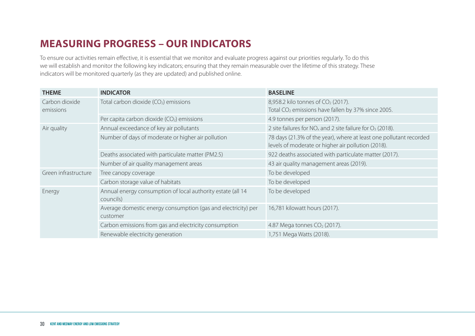## **MEASURING PROGRESS – OUR INDICATORS**

To ensure our activities remain effective, it is essential that we monitor and evaluate progress against our priorities regularly. To do this we will establish and monitor the following key indicators; ensuring that they remain measurable over the lifetime of this strategy. These indicators will be monitored quarterly (as they are updated) and published online.

| <b>THEME</b>                | <b>INDICATOR</b>                                                          | <b>BASELINE</b>                                                                                                          |
|-----------------------------|---------------------------------------------------------------------------|--------------------------------------------------------------------------------------------------------------------------|
| Carbon dioxide<br>emissions | Total carbon dioxide (CO <sub>2</sub> ) emissions                         | 8,958.2 kilo tonnes of CO <sub>2</sub> (2017).<br>Total CO <sub>2</sub> emissions have fallen by 37% since 2005.         |
|                             | Per capita carbon dioxide $(CO2)$ emissions                               | 4.9 tonnes per person (2017).                                                                                            |
| Air quality                 | Annual exceedance of key air pollutants                                   | 2 site failures for $NO_x$ and 2 site failure for $O_3$ (2018).                                                          |
|                             | Number of days of moderate or higher air pollution                        | 78 days (21.3% of the year), where at least one pollutant recorded<br>levels of moderate or higher air pollution (2018). |
|                             | Deaths associated with particulate matter (PM2.5)                         | 922 deaths associated with particulate matter (2017).                                                                    |
|                             | Number of air quality management areas                                    | 43 air quality management areas (2019).                                                                                  |
| Green infrastructure        | Tree canopy coverage                                                      | To be developed                                                                                                          |
|                             | Carbon storage value of habitats                                          | To be developed                                                                                                          |
| Energy                      | Annual energy consumption of local authority estate (all 14<br>councils)  | To be developed                                                                                                          |
|                             | Average domestic energy consumption (gas and electricity) per<br>customer | 16,781 kilowatt hours (2017).                                                                                            |
|                             | Carbon emissions from gas and electricity consumption                     | 4.87 Mega tonnes CO <sub>2</sub> (2017).                                                                                 |
|                             | Renewable electricity generation                                          | 1,751 Mega Watts (2018).                                                                                                 |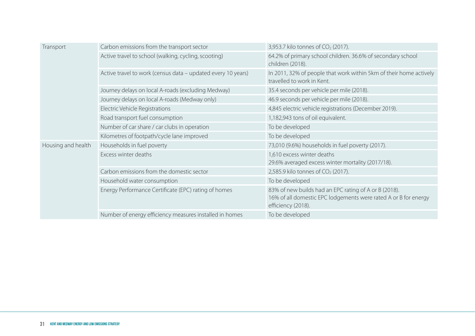| Transport          | Carbon emissions from the transport sector                   | 3,953.7 kilo tonnes of CO <sub>2</sub> (2017).                                                                                                 |
|--------------------|--------------------------------------------------------------|------------------------------------------------------------------------------------------------------------------------------------------------|
|                    | Active travel to school (walking, cycling, scooting)         | 64.2% of primary school children. 36.6% of secondary school<br>children (2018).                                                                |
|                    | Active travel to work (census data - updated every 10 years) | In 2011, 32% of people that work within 5km of their home actively<br>travelled to work in Kent.                                               |
|                    | Journey delays on local A-roads (excluding Medway)           | 35.4 seconds per vehicle per mile (2018).                                                                                                      |
|                    | Journey delays on local A-roads (Medway only)                | 46.9 seconds per vehicle per mile (2018).                                                                                                      |
|                    | Electric Vehicle Registrations                               | 4,845 electric vehicle registrations (December 2019).                                                                                          |
|                    | Road transport fuel consumption                              | 1,182,943 tons of oil equivalent.                                                                                                              |
|                    | Number of car share / car clubs in operation                 | To be developed                                                                                                                                |
|                    | Kilometres of footpath/cycle lane improved                   | To be developed                                                                                                                                |
| Housing and health | Households in fuel poverty                                   | 73,010 (9.6%) households in fuel poverty (2017).                                                                                               |
|                    | Excess winter deaths                                         | 1,610 excess winter deaths<br>29.6% averaged excess winter mortality (2017/18).                                                                |
|                    | Carbon emissions from the domestic sector                    | 2,585.9 kilo tonnes of CO <sub>2</sub> (2017).                                                                                                 |
|                    | Household water consumption                                  | To be developed                                                                                                                                |
|                    | Energy Performance Certificate (EPC) rating of homes         | 83% of new builds had an EPC rating of A or B (2018).<br>16% of all domestic EPC lodgements were rated A or B for energy<br>efficiency (2018). |
|                    | Number of energy efficiency measures installed in homes      | To be developed                                                                                                                                |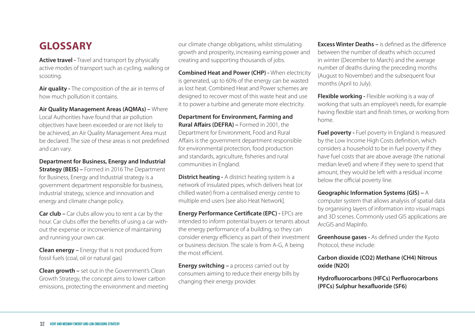### **GLOSSARY**

**Active travel -** Travel and transport by physically active modes of transport such as cycling, walking or scooting.

**Air quality -** The composition of the air in terms of how much pollution it contains.

**Air Quality Management Areas (AQMAs) –** Where Local Authorities have found that air pollution objectives have been exceeded or are not likely to be achieved, an Air Quality Management Area must be declared. The size of these areas is not predefined and can vary.

**Department for Business, Energy and Industrial Strategy (BEIS) –** Formed in 2016 The Department for Business, Energy and Industrial strategy is a government department responsible for business,

industrial strategy, science and innovation and energy and climate change policy. **Car club –** Car clubs allow you to rent a car by the

hour. Car clubs offer the benefits of using a car without the expense or inconvenience of maintaining and running your own car.

**Clean energy –** Energy that is not produced from fossil fuels (coal, oil or natural gas)

**Clean growth –** set out in the Government's Clean Growth Strategy, the concept aims to lower carbon emissions, protecting the environment and meeting our climate change obligations, whilst stimulating growth and prosperity, increasing earning power and creating and supporting thousands of jobs.

**Combined Heat and Power (CHP) -** When electricity is generated, up to 60% of the energy can be wasted as lost heat. Combined Heat and Power schemes are designed to recover most of this waste heat and use it to power a turbine and generate more electricity.

**Department for Environment, Farming and Rural Affairs (DEFRA) –** Formed in 2001, the Department for Environment, Food and Rural Affairs is the government department responsible for environmental protection, food production and standards, agriculture, fisheries and rural communities in England.

**District heating -** A district heating system is a network of insulated pipes, which delivers heat (or chilled water) from a centralised energy centre to multiple end users [see also Heat Network].

**Energy Performance Certificate (EPC) -** EPCs are intended to inform potential buyers or tenants about the energy performance of a building, so they can consider energy efficiency as part of their investment or business decision. The scale is from A-G, A being the most efficient.

**Energy switching –** a process carried out by consumers aiming to reduce their energy bills by changing their energy provider.

**Excess Winter Deaths –** is defined as the difference between the number of deaths which occurred in winter (December to March) and the average number of deaths during the preceding months (August to November) and the subsequent four months (April to July).

**Flexible working -** Flexible working is a way of working that suits an employee's needs, for example having flexible start and finish times, or working from home.

**Fuel poverty -** Fuel poverty in England is measured by the Low Income High Costs definition, which considers a household to be in fuel poverty if they have fuel costs that are above average (the national median level) and where if they were to spend that amount, they would be left with a residual income below the official poverty line.

**Geographic Information Systems (GIS) –** A

computer system that allows analysis of spatial data by organising layers of information into visual maps and 3D scenes. Commonly used GIS applications are ArcGIS and MapInfo.

**Greenhouse gases -** As defined under the Kyoto Protocol, these include:

**Carbon dioxide (CO2) Methane (CH4) Nitrous oxide (N2O)**

**Hydrofluorocarbons (HFCs) Perfluorocarbons (PFCs) Sulphur hexafluoride (SF6)**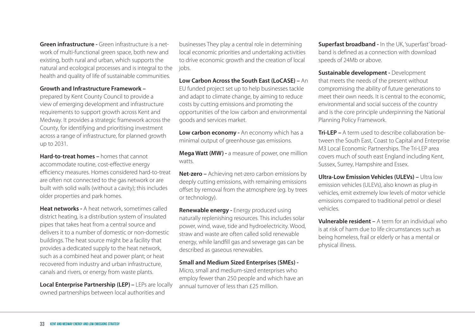**Green infrastructure -** Green infrastructure is a network of multi-functional green space, both new and existing, both rural and urban, which supports the natural and ecological processes and is integral to the health and quality of life of sustainable communities.

#### **Growth and Infrastructure Framework –**

prepared by Kent County Council to provide a view of emerging development and infrastructure requirements to support growth across Kent and Medway. It provides a strategic framework across the County, for identifying and prioritising investment across a range of infrastructure, for planned growth up to 2031.

**Hard-to-treat homes –** homes that cannot accommodate routine, cost-effective energy efficiency measures. Homes considered hard-to-treat are often not connected to the gas network or are built with solid walls (without a cavity); this includes older properties and park homes.

**Heat networks -** A heat network, sometimes called district heating, is a distribution system of insulated pipes that takes heat from a central source and delivers it to a number of domestic or non-domestic buildings. The heat source might be a facility that provides a dedicated supply to the heat network, such as a combined heat and power plant; or heat recovered from industry and urban infrastructure, canals and rivers, or energy from waste plants.

**Local Enterprise Partnership (LEP) –** LEPs are locally owned partnerships between local authorities and

businesses They play a central role in determining local economic priorities and undertaking activities to drive economic growth and the creation of local jobs.

**Low Carbon Across the South East (LoCASE) –** An EU funded project set up to help businesses tackle and adapt to climate change, by aiming to reduce costs by cutting emissions and promoting the opportunities of the low carbon and environmental goods and services market.

**Low carbon economy -** An economy which has a minimal output of greenhouse gas emissions.

**Mega Watt (MW) -** a measure of power, one million watts.

**Net-zero –** Achieving net-zero carbon emissions by deeply cutting emissions, with remaining emissions offset by removal from the atmosphere (eg. by trees or technology).

**Renewable energy -** Energy produced using naturally replenishing resources. This includes solar power, wind, wave, tide and hydroelectricity. Wood, straw and waste are often called solid renewable energy, while landfill gas and sewerage gas can be described as gaseous renewables.

#### **Small and Medium Sized Enterprises (SMEs) -**

Micro, small and medium-sized enterprises who employ fewer than 250 people and which have an annual turnover of less than £25 million.

**Superfast broadband -** In the UK, 'superfast' broadband is defined as a connection with download speeds of 24Mb or above.

**Sustainable development -** Development that meets the needs of the present without compromising the ability of future generations to meet their own needs. It is central to the economic environmental and social success of the country and is the core principle underpinning the National Planning Policy Framework.

**Tri-LEP –** A term used to describe collaboration between the South East, Coast to Capital and Enterprise M3 Local Economic Partnerships. The Tri-LEP area covers much of south east England including Kent, Sussex, Surrey, Hampshire and Essex.

**Ultra-Low Emission Vehicles (ULEVs) –** Ultra low emission vehicles (ULEVs), also known as plug-in vehicles, emit extremely low levels of motor vehicle emissions compared to traditional petrol or diesel vehicles.

**Vulnerable resident –** A term for an individual who is at risk of harm due to life circumstances such as being homeless, frail or elderly or has a mental or physical illness.